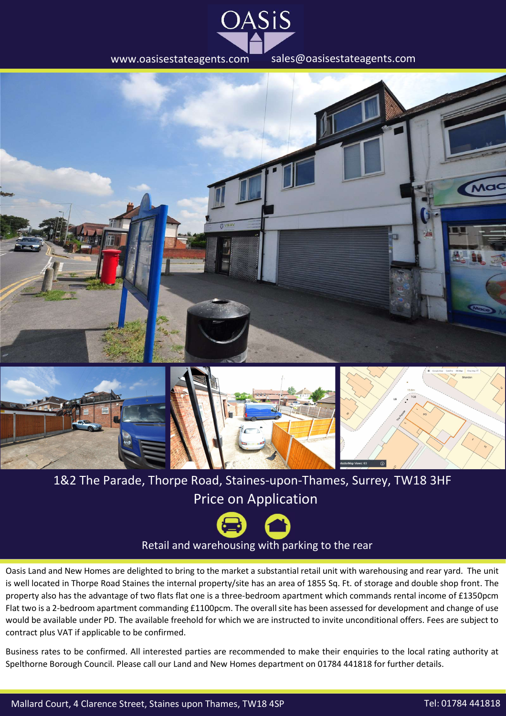







## 1&2 The Parade, Thorpe Road, Staines-upon-Thames, Surrey, TW18 3HF Price on Application



Oasis Land and New Homes are delighted to bring to the market <sup>a</sup> substantial retail unit with warehousing and rear yard. The unit is well located in Thorpe Road Staines the internal property/site has an area of 1855 Sq. Ft. of storage and double shop front. The property also has the advantage of two flats flat one is a three-bedroom apartment which commands rental income of £1350pcm Flat two is a 2-bedroom apartment commanding £1100pcm. The overall site has been assessed for development and change of use would be available under PD. The available freehold for which we are instructed to invite unconditional offers. Fees are subject to contract plus VAT if applicable to be confirmed.

Business rates to be confirmed. All interested parties are recommended to make their enquiries to the local rating authority at Spelthorne Borough Council. Please call our Land and New Homes department on 01784 441818 for further details.